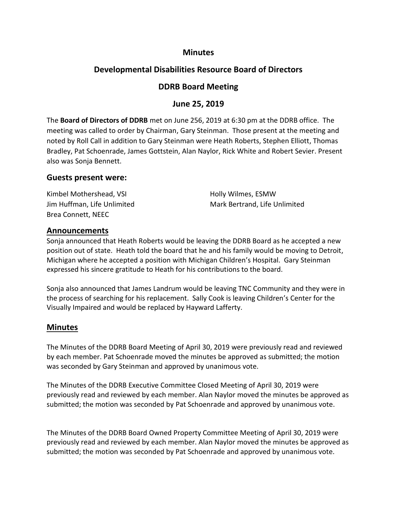#### **Minutes**

# **Developmental Disabilities Resource Board of Directors**

## **DDRB Board Meeting**

## **June 25, 2019**

The **Board of Directors of DDRB** met on June 256, 2019 at 6:30 pm at the DDRB office. The meeting was called to order by Chairman, Gary Steinman. Those present at the meeting and noted by Roll Call in addition to Gary Steinman were Heath Roberts, Stephen Elliott, Thomas Bradley, Pat Schoenrade, James Gottstein, Alan Naylor, Rick White and Robert Sevier. Present also was Sonja Bennett.

#### **Guests present were:**

| Kimbel Mothershead, VSI     | Holly Wilmes, ESMW            |
|-----------------------------|-------------------------------|
| Jim Huffman, Life Unlimited | Mark Bertrand, Life Unlimited |
| Brea Connett, NEEC          |                               |

#### **Announcements**

Sonja announced that Heath Roberts would be leaving the DDRB Board as he accepted a new position out of state. Heath told the board that he and his family would be moving to Detroit, Michigan where he accepted a position with Michigan Children's Hospital. Gary Steinman expressed his sincere gratitude to Heath for his contributions to the board.

Sonja also announced that James Landrum would be leaving TNC Community and they were in the process of searching for his replacement. Sally Cook is leaving Children's Center for the Visually Impaired and would be replaced by Hayward Lafferty.

## **Minutes**

The Minutes of the DDRB Board Meeting of April 30, 2019 were previously read and reviewed by each member. Pat Schoenrade moved the minutes be approved as submitted; the motion was seconded by Gary Steinman and approved by unanimous vote.

The Minutes of the DDRB Executive Committee Closed Meeting of April 30, 2019 were previously read and reviewed by each member. Alan Naylor moved the minutes be approved as submitted; the motion was seconded by Pat Schoenrade and approved by unanimous vote.

The Minutes of the DDRB Board Owned Property Committee Meeting of April 30, 2019 were previously read and reviewed by each member. Alan Naylor moved the minutes be approved as submitted; the motion was seconded by Pat Schoenrade and approved by unanimous vote.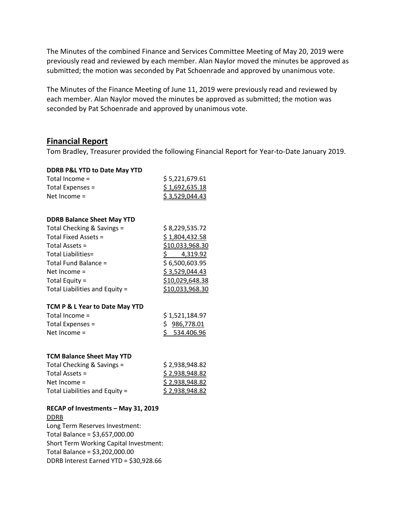The Minutes of the combined Finance and Services Committee Meeting of May 20, 2019 were previously read and reviewed by each member. Alan Naylor moved the minutes be approved as submitted; the motion was seconded by Pat Schoenrade and approved by unanimous vote.

The Minutes of the Finance Meeting of June 11, 2019 were previously read and reviewed by each member. Alan Naylor moved the minutes be approved as submitted; the motion was seconded by Pat Schoenrade and approved by unanimous vote.

#### **Financial Report**

Tom Bradley, Treasurer provided the following Financial Report for Year-to-Date January 2019.

| DDRB P&L YTD to Date May YTD        |                        |
|-------------------------------------|------------------------|
| Total Income =                      | \$5,221,679.61         |
| Total Expenses =                    | \$1,692,635.18         |
| Net Income $=$                      | \$3,529,044.43         |
|                                     |                        |
| <b>DDRB Balance Sheet May YTD</b>   |                        |
| Total Checking & Savings =          | \$ 8,229,535.72        |
| Total Fixed Assets =                | \$1,804,432.58         |
| Total Assets =                      | \$10,033,968.30        |
| <b>Total Liabilities=</b>           | \$4,319.92             |
| Total Fund Balance =                | \$6,500,603.95         |
| Net Income =                        | \$3,529,044.43         |
| Total Equity =                      | \$10,029,648.38        |
| Total Liabilities and Equity =      | \$10,033,968.30        |
|                                     |                        |
| TCM P & L Year to Date May YTD      |                        |
| Total Income =                      | \$1,521,184.97         |
| Total Expenses =                    | \$986,778.01           |
| Net Income =                        | \$534.406.96           |
|                                     |                        |
| <b>TCM Balance Sheet May YTD</b>    |                        |
| Total Checking & Savings =          | \$2,938,948.82         |
| Total Assets =                      | <u>\$2,938,948.82</u>  |
| Net Income =                        | \$2,938,948.82         |
| Total Liabilities and Equity =      | <u>\$ 2,938,948.82</u> |
| RECAP of Investments - May 31, 2019 |                        |
| <b>DDRB</b>                         |                        |
| Long Term Reserves Investment:      |                        |
| Total Balance = \$3,657,000.00      |                        |

Short Term Working Capital Investment:

DDRB Interest Earned YTD = \$30,928.66

Total Balance = \$3,202,000.00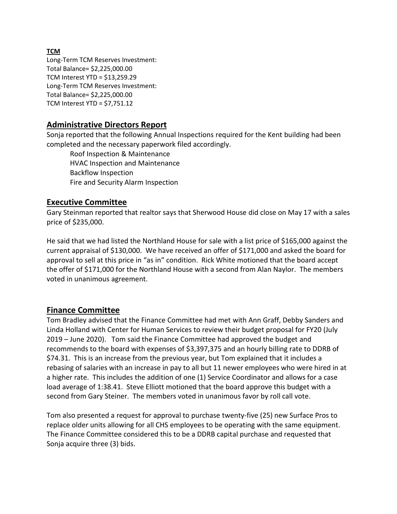Long-Term TCM Reserves Investment: Total Balance= \$2,225,000.00 TCM Interest YTD = \$13,259.29 Long-Term TCM Reserves Investment: Total Balance= \$2,225,000.00 TCM Interest YTD = \$7,751.12

# **Administrative Directors Report**

Sonja reported that the following Annual Inspections required for the Kent building had been completed and the necessary paperwork filed accordingly.

Roof Inspection & Maintenance HVAC Inspection and Maintenance Backflow Inspection Fire and Security Alarm Inspection

#### **Executive Committee**

Gary Steinman reported that realtor says that Sherwood House did close on May 17 with a sales price of \$235,000.

He said that we had listed the Northland House for sale with a list price of \$165,000 against the current appraisal of \$130,000. We have received an offer of \$171,000 and asked the board for approval to sell at this price in "as in" condition. Rick White motioned that the board accept the offer of \$171,000 for the Northland House with a second from Alan Naylor. The members voted in unanimous agreement.

## **Finance Committee**

Tom Bradley advised that the Finance Committee had met with Ann Graff, Debby Sanders and Linda Holland with Center for Human Services to review their budget proposal for FY20 (July 2019 – June 2020). Tom said the Finance Committee had approved the budget and recommends to the board with expenses of \$3,397,375 and an hourly billing rate to DDRB of \$74.31. This is an increase from the previous year, but Tom explained that it includes a rebasing of salaries with an increase in pay to all but 11 newer employees who were hired in at a higher rate. This includes the addition of one (1) Service Coordinator and allows for a case load average of 1:38.41. Steve Elliott motioned that the board approve this budget with a second from Gary Steiner. The members voted in unanimous favor by roll call vote.

Tom also presented a request for approval to purchase twenty-five (25) new Surface Pros to replace older units allowing for all CHS employees to be operating with the same equipment. The Finance Committee considered this to be a DDRB capital purchase and requested that Sonja acquire three (3) bids.

#### **TCM**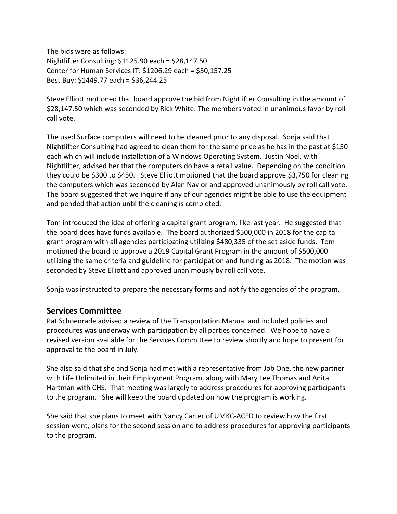The bids were as follows: Nightlifter Consulting: \$1125.90 each = \$28,147.50 Center for Human Services IT: \$1206.29 each = \$30,157.25 Best Buy: \$1449.77 each = \$36,244.25

Steve Elliott motioned that board approve the bid from Nightlifter Consulting in the amount of \$28,147.50 which was seconded by Rick White. The members voted in unanimous favor by roll call vote.

The used Surface computers will need to be cleaned prior to any disposal. Sonja said that Nightlifter Consulting had agreed to clean them for the same price as he has in the past at \$150 each which will include installation of a Windows Operating System. Justin Noel, with Nightlifter, advised her that the computers do have a retail value. Depending on the condition they could be \$300 to \$450. Steve Elliott motioned that the board approve \$3,750 for cleaning the computers which was seconded by Alan Naylor and approved unanimously by roll call vote. The board suggested that we inquire if any of our agencies might be able to use the equipment and pended that action until the cleaning is completed.

Tom introduced the idea of offering a capital grant program, like last year. He suggested that the board does have funds available. The board authorized \$500,000 in 2018 for the capital grant program with all agencies participating utilizing \$480,335 of the set aside funds. Tom motioned the board to approve a 2019 Capital Grant Program in the amount of \$500,000 utilizing the same criteria and guideline for participation and funding as 2018. The motion was seconded by Steve Elliott and approved unanimously by roll call vote.

Sonja was instructed to prepare the necessary forms and notify the agencies of the program.

## **Services Committee**

Pat Schoenrade advised a review of the Transportation Manual and included policies and procedures was underway with participation by all parties concerned. We hope to have a revised version available for the Services Committee to review shortly and hope to present for approval to the board in July.

She also said that she and Sonja had met with a representative from Job One, the new partner with Life Unlimited in their Employment Program, along with Mary Lee Thomas and Anita Hartman with CHS. That meeting was largely to address procedures for approving participants to the program. She will keep the board updated on how the program is working.

She said that she plans to meet with Nancy Carter of UMKC-ACED to review how the first session went, plans for the second session and to address procedures for approving participants to the program.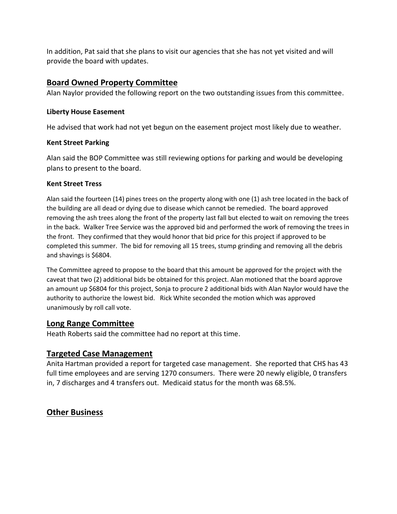In addition, Pat said that she plans to visit our agencies that she has not yet visited and will provide the board with updates.

# **Board Owned Property Committee**

Alan Naylor provided the following report on the two outstanding issues from this committee.

#### **Liberty House Easement**

He advised that work had not yet begun on the easement project most likely due to weather.

#### **Kent Street Parking**

Alan said the BOP Committee was still reviewing options for parking and would be developing plans to present to the board.

#### **Kent Street Tress**

Alan said the fourteen (14) pines trees on the property along with one (1) ash tree located in the back of the building are all dead or dying due to disease which cannot be remedied. The board approved removing the ash trees along the front of the property last fall but elected to wait on removing the trees in the back. Walker Tree Service was the approved bid and performed the work of removing the trees in the front. They confirmed that they would honor that bid price for this project if approved to be completed this summer. The bid for removing all 15 trees, stump grinding and removing all the debris and shavings is \$6804.

The Committee agreed to propose to the board that this amount be approved for the project with the caveat that two (2) additional bids be obtained for this project. Alan motioned that the board approve an amount up \$6804 for this project, Sonja to procure 2 additional bids with Alan Naylor would have the authority to authorize the lowest bid. Rick White seconded the motion which was approved unanimously by roll call vote.

## **Long Range Committee**

Heath Roberts said the committee had no report at this time.

## **Targeted Case Management**

Anita Hartman provided a report for targeted case management. She reported that CHS has 43 full time employees and are serving 1270 consumers. There were 20 newly eligible, 0 transfers in, 7 discharges and 4 transfers out. Medicaid status for the month was 68.5%.

## **Other Business**